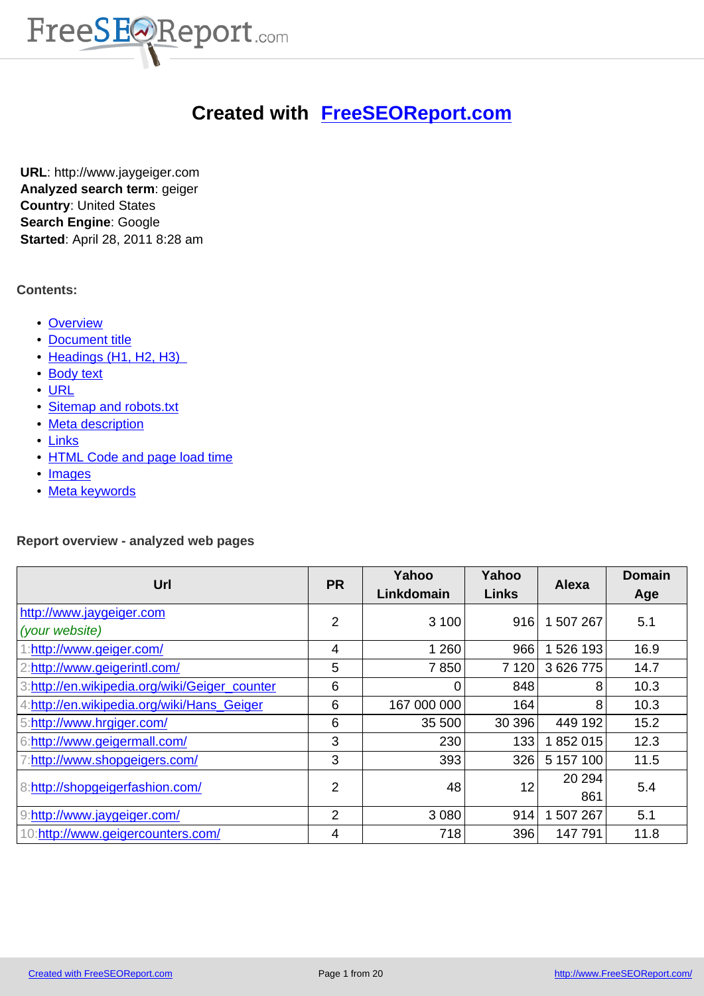

# **Created with FreeSEOReport.com**

**URL**: http://www.jaygeiger.com **Analyzed search term**: geiger **Country**: United States **Search Engine**: Google **Started**: April 28, 2011 8:28 am

### **Contents:**

- Overview
- Document title
- Headings (H1, H2, H3)
- [Body text](#page-0-0)
- URL
- [Sitemap and ro](#page-2-0)bots.txt
- [Meta description](#page-4-0)
- Links
- **[HT](#page-7-0)[ML Code and page](#page-9-0) load time**
- Images
- [Meta keywords](#page-11-0)

### **Rep[ort over](#page-16-0)[view - a](#page-18-0)nalyzed web pages**

<span id="page-0-0"></span>

| Url                                           | <b>PR</b>      | Yahoo<br>Linkdomain | Yahoo<br><b>Links</b> | <b>Alexa</b>  | <b>Domain</b><br>Age |
|-----------------------------------------------|----------------|---------------------|-----------------------|---------------|----------------------|
| http://www.jaygeiger.com<br>(your website)    | 2              | 3 100               | 916                   | 1 507 267     | 5.1                  |
| 1:http://www.geiger.com/                      | 4              | 1 2 6 0             | 966                   | 1 526 193     | 16.9                 |
| 2:http://www.geigerintl.com/                  | 5              | 7850                | 7 1 2 0               | 3 626 775     | 14.7                 |
| 3:http://en.wikipedia.org/wiki/Geiger_counter | 6              | $\Omega$            | 848                   | 8             | 10.3                 |
| 4:http://en.wikipedia.org/wiki/Hans_Geiger    | 6              | 167 000 000         | 164                   | 8             | 10.3                 |
| 5:http://www.hrgiger.com/                     | 6              | 35 500              | 30 396                | 449 192       | 15.2                 |
| 6:http://www.geigermall.com/                  | 3              | 230                 | 133                   | 1852015       | 12.3                 |
| 7.http://www.shopgeigers.com/                 | 3              | 393                 | 326                   | 5 157 100     | 11.5                 |
| 8:http://shopgeigerfashion.com/               | $\overline{2}$ | 48                  | 12                    | 20 294<br>861 | 5.4                  |
| 9:http://www.jaygeiger.com/                   | 2              | 3 0 8 0             | 914                   | 507 267       | 5.1                  |
| 10:http://www.geigercounters.com/             | 4              | 718                 | 396                   | 147 791       | 11.8                 |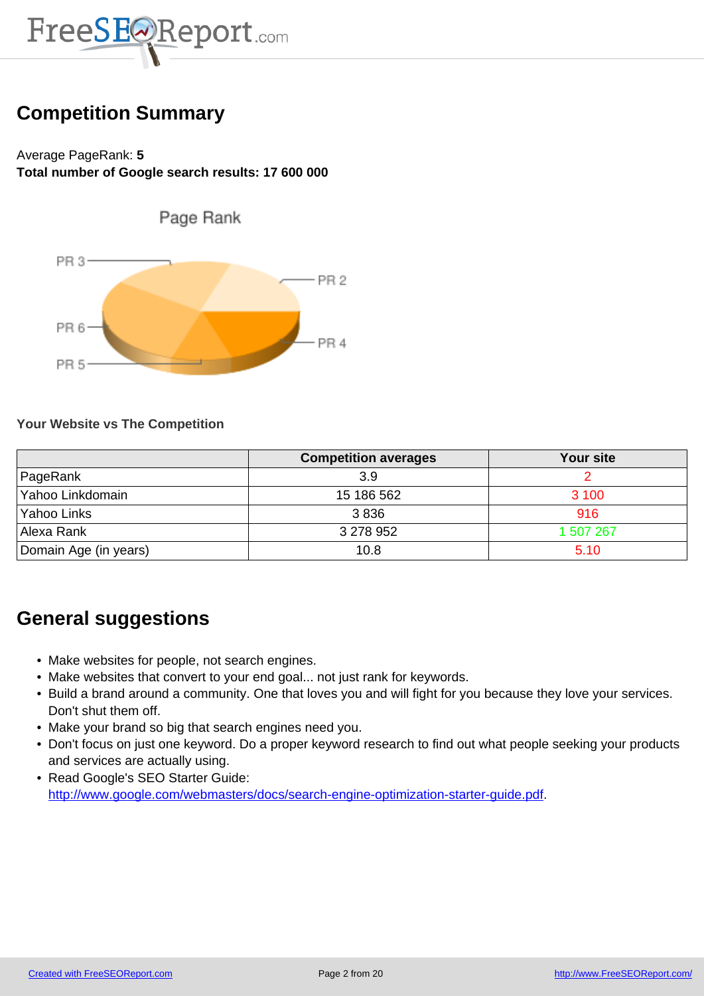

# **Competition Summary**

# Average PageRank: **5 Total number of Google search results: 17 600 000**



### **Your Website vs The Competition**

|                       | <b>Competition averages</b> | <b>Your site</b> |
|-----------------------|-----------------------------|------------------|
| PageRank              | 3.9                         |                  |
| Yahoo Linkdomain      | 15 186 562                  | 3 100            |
| Yahoo Links           | 3836                        | 916              |
| Allexa Rank           | 3 278 952                   | 1 507 267        |
| Domain Age (in years) | 10.8                        | 5.10             |

# **General suggestions**

- Make websites for people, not search engines.
- Make websites that convert to your end goal... not just rank for keywords.
- Build a brand around a community. One that loves you and will fight for you because they love your services. Don't shut them off.
- Make your brand so big that search engines need you.
- Don't focus on just one keyword. Do a proper keyword research to find out what people seeking your products and services are actually using.
- Read Google's SEO Starter Guide: http://www.google.com/webmasters/docs/search-engine-optimization-starter-guide.pdf.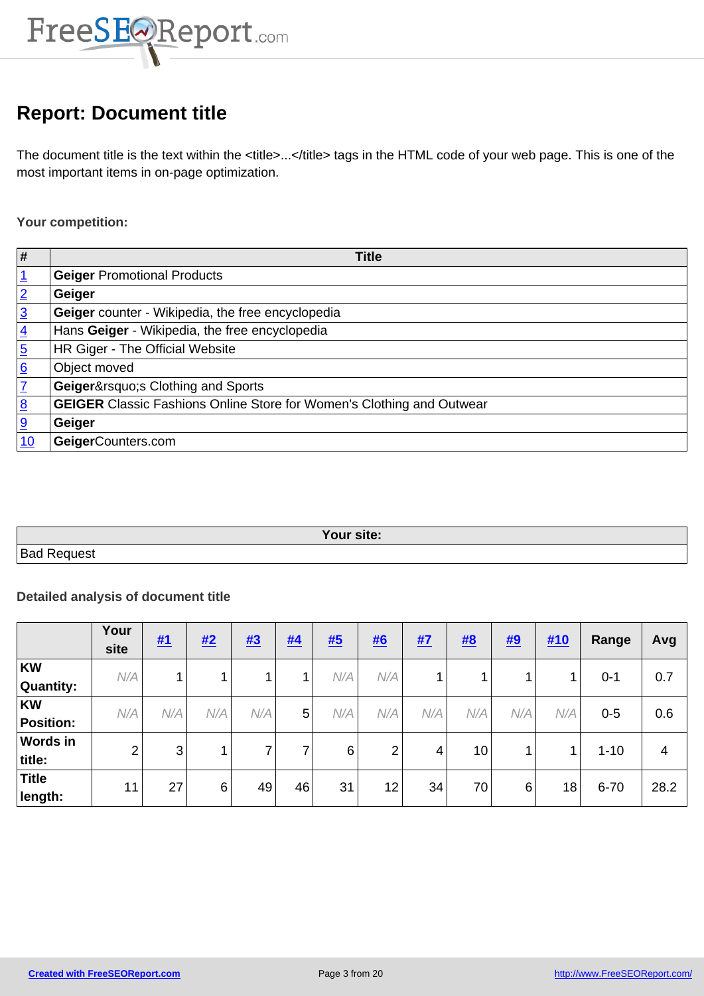

# **Report: Document title**

<span id="page-2-0"></span>The document title is the text within the <title>...</title> tags in the HTML code of your web page. This is one of the most important items in on-page optimization.

**Your competition:**

| #              | <b>Title</b>                                                                 |
|----------------|------------------------------------------------------------------------------|
|                | <b>Geiger Promotional Products</b>                                           |
| $\overline{2}$ | Geiger                                                                       |
| $\overline{3}$ | Geiger counter - Wikipedia, the free encyclopedia                            |
| $\overline{4}$ | Hans Geiger - Wikipedia, the free encyclopedia                               |
| $\overline{5}$ | HR Giger - The Official Website                                              |
| 6              | Object moved                                                                 |
|                | Geiger's Clothing and Sports                                                 |
| $\overline{8}$ | <b>GEIGER</b> Classic Fashions Online Store for Women's Clothing and Outwear |
| <u>g</u>       | Geiger                                                                       |
| 10             | GeigerCounters.com                                                           |

| Your site:        |  |
|-------------------|--|
| Bao<br>∵⊃∆ا،<br>ິ |  |

### **Detailed analysis of document title**

|                  | Your<br>site | #1              | #2  | #3  | #4 | <u>#5</u> | <u>#6</u>      | <u>#7</u> | #8              | #9  | #10 | Range    | Avg  |
|------------------|--------------|-----------------|-----|-----|----|-----------|----------------|-----------|-----------------|-----|-----|----------|------|
| KW               | N/A          | 1.              |     |     |    | N/A       | N/A            |           |                 |     |     | $0 - 1$  | 0.7  |
| Quantity:        |              |                 |     |     |    |           |                |           |                 |     |     |          |      |
| <b>KW</b>        | N/A          | N/A             | N/A | N/A | 5  | N/A       | N/A            | N/A       | N/A             | N/A | N/A | $0 - 5$  | 0.6  |
| <b>Position:</b> |              |                 |     |     |    |           |                |           |                 |     |     |          |      |
| <b>Words in</b>  | 2            | 3               |     | ⇁   | 7  | 6         | $\overline{2}$ | 4         | 10 <sub>1</sub> |     |     | $1 - 10$ | 4    |
| title:           |              |                 |     |     |    |           |                |           |                 |     |     |          |      |
| <b>Title</b>     | 11           | 27 <sub>1</sub> | 6   | 49  | 46 | 31        | 12             | 34        | 70              | 6   | 18  | $6 - 70$ | 28.2 |
| length:          |              |                 |     |     |    |           |                |           |                 |     |     |          |      |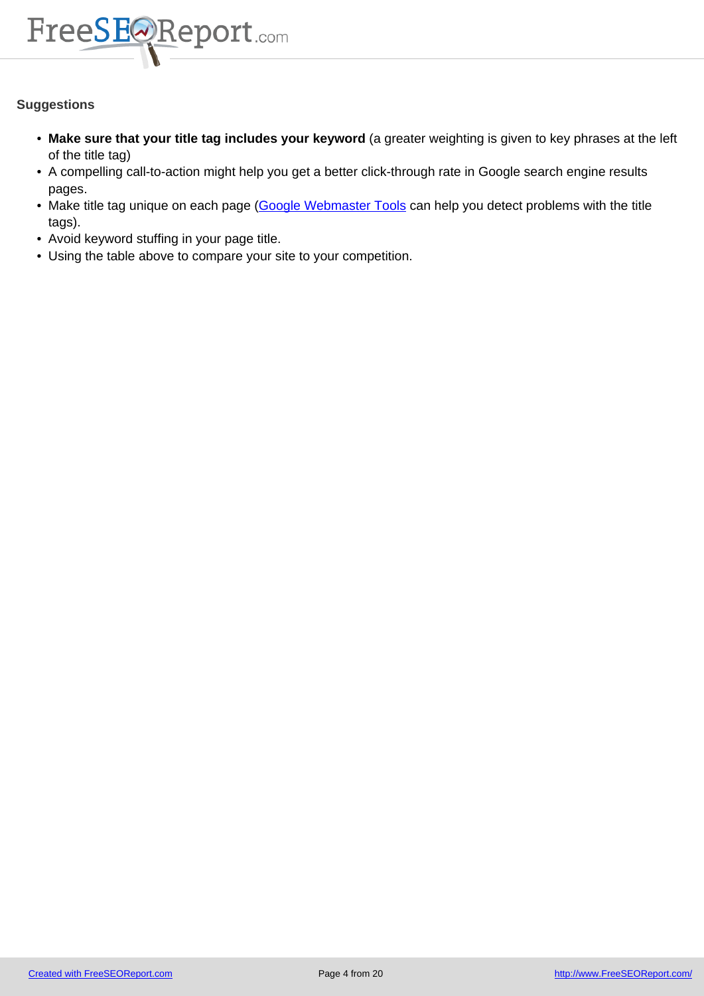

- **Make sure that your title tag includes your keyword** (a greater weighting is given to key phrases at the left of the title tag)
- A compelling call-to-action might help you get a better click-through rate in Google search engine results pages.
- Make title tag unique on each page (Google Webmaster Tools can help you detect problems with the title tags).
- Avoid keyword stuffing in your page title.
- Using the table above to compare y[our site to your competition](http://www.google.com/webmasters/tools/).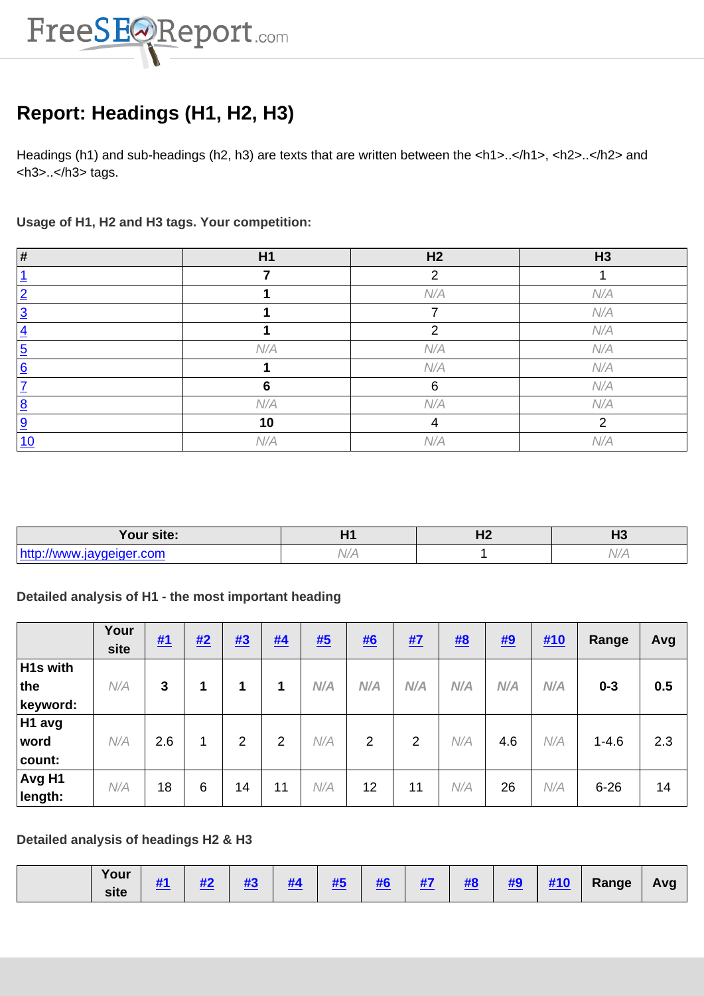

# **Report: Headings (H1, H2, H3)**

<span id="page-4-0"></span>Headings (h1) and sub-headings (h2, h3) are texts that are written between the <h1>..</h1>, <h2>..</h2> and <h3>..</h3> tags.

**Usage of H1, H2 and H3 tags. Your competition:**

| #             | H1  | H <sub>2</sub> | H3  |
|---------------|-----|----------------|-----|
|               |     | ⌒              |     |
| റ             |     | N/A            | N/A |
| റ             |     | ⇁              | N/A |
|               |     | ⌒              | N/A |
| <u>5</u>      | N/A | N/A            | N/A |
| <u>6</u>      |     | N/A            | N/A |
|               |     | 6              | N/A |
| o<br><u>୦</u> | N/A | N/A            | N/A |
| <u>9</u>      | 10  |                |     |
| 10            | N/A | N/A            | N/A |

| Your site: |               | .<br>$\blacksquare$ | . .<br>-- |
|------------|---------------|---------------------|-----------|
| $1 - 11$   | $\mathcal{M}$ |                     |           |

# **Detailed analysis of H1 - the most important heading**

|                                         | Your<br>site | <u>#1</u> | #2 | #3 | #4             | <b>#5</b> | #6  | <u>#7</u> | #8  | #9  | #10 | Range     | Avg |
|-----------------------------------------|--------------|-----------|----|----|----------------|-----------|-----|-----------|-----|-----|-----|-----------|-----|
| H <sub>1s</sub> with<br>the<br>keyword: | N/A          | 3         | 1  | 1  |                | N/A       | N/A | N/A       | N/A | N/A | N/A | $0 - 3$   | 0.5 |
| H1 avg<br>word<br>count:                | N/A          | 2.6       | 1  | 2  | $\overline{2}$ | N/A       | 2   | 2         | N/A | 4.6 | N/A | $1 - 4.6$ | 2.3 |
| Avg H1<br>length:                       | N/A          | 18        | 6  | 14 | 11             | N/A       | 12  | 11        | N/A | 26  | N/A | $6 - 26$  | 14  |

## **Detailed analysis of headings H2 & H3**

| Your<br>site | 20 L | <br>Ш | $\mathbf{u}$ | . | <b><i>BEE</i></b><br>$\boldsymbol{\pi}$ | $\mathbf{u}$<br>$\boldsymbol{\pi}$ | --<br>17 L | $\mathbf{r}$ | $\mathbf{u}$<br>ÆТ | <b><i><u>HAA</u></i></b><br>$\pi$ is | Range<br>$-1$ | Ava |
|--------------|------|-------|--------------|---|-----------------------------------------|------------------------------------|------------|--------------|--------------------|--------------------------------------|---------------|-----|
|              |      |       |              |   |                                         |                                    |            |              |                    |                                      |               |     |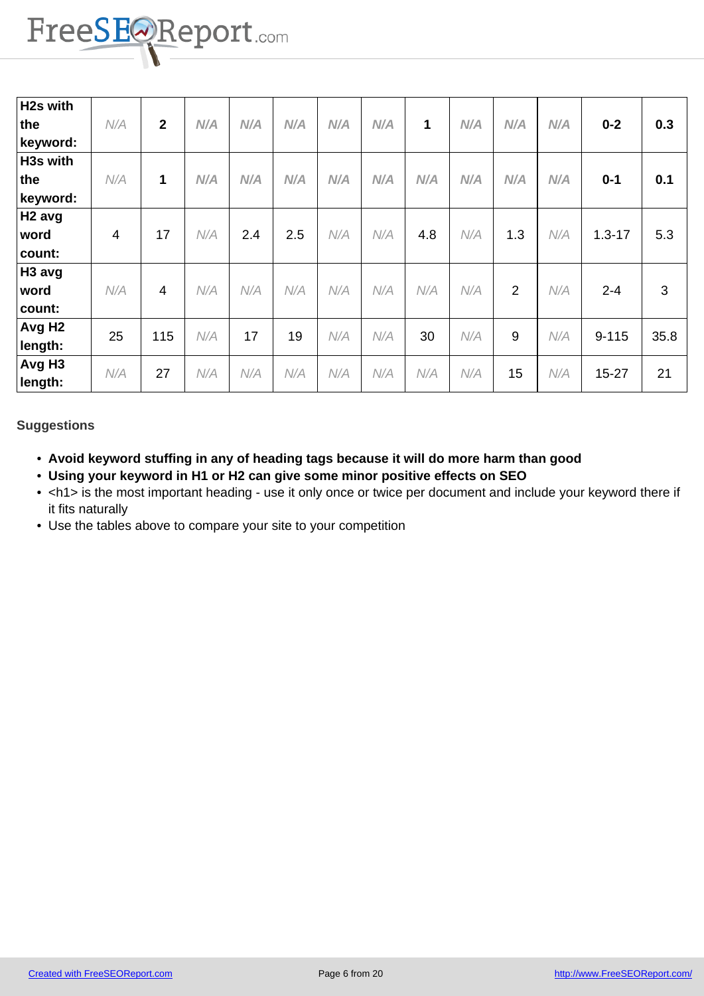

| H2s with<br>the    | N/A | $\overline{2}$ | N/A | N/A | N/A | N/A | N/A | 1   | N/A | N/A            | N/A | $0 - 2$    | 0.3  |
|--------------------|-----|----------------|-----|-----|-----|-----|-----|-----|-----|----------------|-----|------------|------|
| keyword:           |     |                |     |     |     |     |     |     |     |                |     |            |      |
| <b>H3s with</b>    |     |                |     |     |     |     |     |     |     |                |     |            |      |
| the                | N/A | 1              | N/A | N/A | N/A | N/A | N/A | N/A | N/A | N/A            | N/A | $0 - 1$    | 0.1  |
| keyword:           |     |                |     |     |     |     |     |     |     |                |     |            |      |
| H2 avg             |     |                |     |     |     |     |     |     |     |                |     |            |      |
| word               | 4   | 17             | N/A | 2.4 | 2.5 | N/A | N/A | 4.8 | N/A | 1.3            | N/A | $1.3 - 17$ | 5.3  |
| count:             |     |                |     |     |     |     |     |     |     |                |     |            |      |
| H <sub>3</sub> avg |     |                |     |     |     |     |     |     |     |                |     |            |      |
| word               | N/A | 4              | N/A | N/A | N/A | N/A | N/A | N/A | N/A | $\overline{2}$ | N/A | $2 - 4$    | 3    |
| count:             |     |                |     |     |     |     |     |     |     |                |     |            |      |
| Avg H <sub>2</sub> | 25  | 115            | N/A | 17  | 19  | N/A | N/A | 30  | N/A | 9              | N/A | $9 - 115$  | 35.8 |
| length:            |     |                |     |     |     |     |     |     |     |                |     |            |      |
| Avg H <sub>3</sub> |     |                |     |     |     |     |     |     |     |                |     |            |      |
| length:            | N/A | 27             | N/A | N/A | N/A | N/A | N/A | N/A | N/A | 15             | N/A | $15 - 27$  | 21   |

- **Avoid keyword stuffing in any of heading tags because it will do more harm than good**
- **Using your keyword in H1 or H2 can give some minor positive effects on SEO**
- <h1> is the most important heading use it only once or twice per document and include your keyword there if it fits naturally
- Use the tables above to compare your site to your competition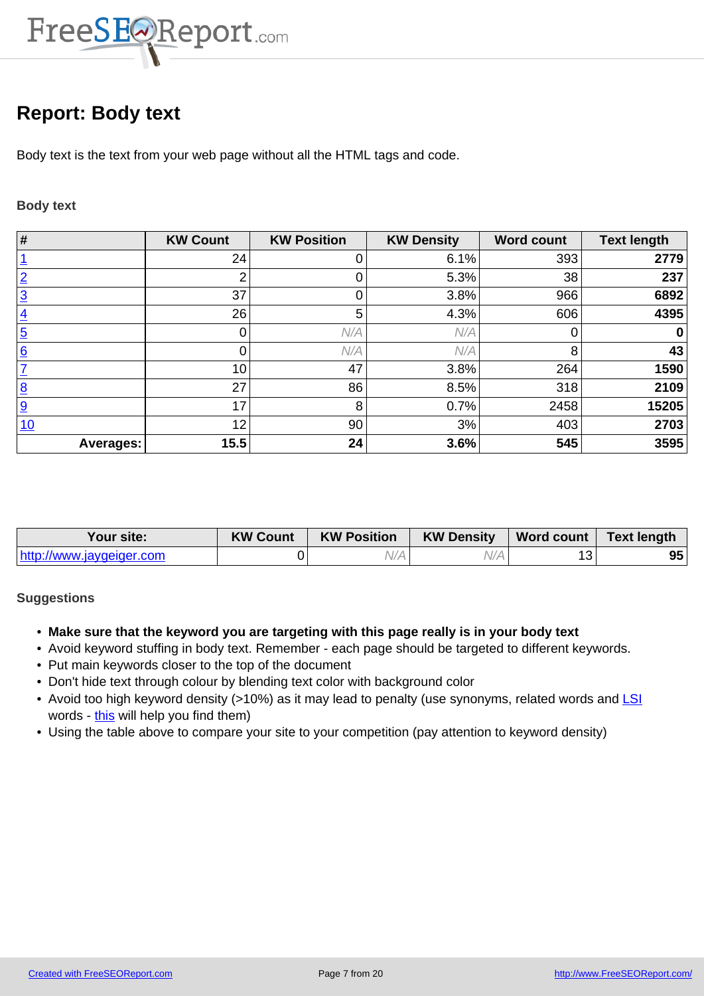

# **Report: Body text**

<span id="page-6-0"></span>Body text is the text from your web page without all the HTML tags and code.

### **Body text**

| $\overline{\boldsymbol{H}}$ | <b>KW Count</b> | <b>KW Position</b> | <b>KW Density</b> | <b>Word count</b> | <b>Text length</b> |
|-----------------------------|-----------------|--------------------|-------------------|-------------------|--------------------|
|                             | 24              |                    | 6.1%              | 393               | 2779               |
| $\overline{2}$              |                 | 0                  | 5.3%              | 38                | 237                |
| $\overline{3}$              | 37              |                    | 3.8%              | 966               | 6892               |
| $\overline{4}$              | 26              | 5                  | 4.3%              | 606               | 4395               |
| $\overline{5}$              |                 | N/A                | N/A               |                   | 0                  |
| 6                           |                 | N/A                | N/A               | 8                 | 43                 |
| 7                           | 10              | 47                 | 3.8%              | 264               | 1590               |
| $\overline{8}$              | 27              | 86                 | 8.5%              | 318               | 2109               |
| 9                           | 17              | 8                  | 0.7%              | 2458              | 15205              |
| 10                          | 12              | 90                 | 3%                | 403               | 2703               |
| <b>Averages:</b>            | 15.5            | 24                 | 3.6%              | 545               | 3595               |

| Your site:               | <b>KW Count</b> | <b>KW Position</b> | <b>KW Density</b> | $\sqrt{2}$ Word count | <b>Text length</b> |
|--------------------------|-----------------|--------------------|-------------------|-----------------------|--------------------|
| http://www.jaygeiger.com |                 |                    |                   |                       | 95                 |

- **Make sure that the keyword you are targeting with this page really is in your body text**
- Avoid keyword stuffing in body text. Remember each page should be targeted to different keywords.
- Put main keywords closer to the top of the document
- Don't hide text through colour by blending text color with background color
- Avoid too high keyword density (>10%) as it may lead to penalty (use synonyms, related words and LSI words - this will help you find them)
- Using the table above to compare your site to your competition (pay attention to keyword density)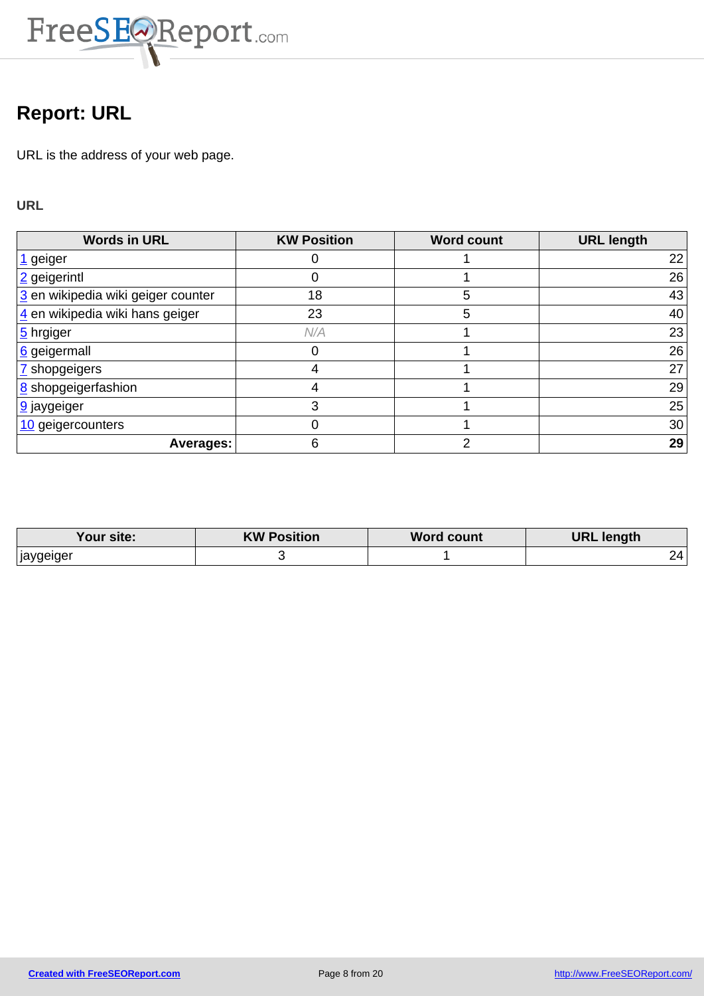

# **Report: URL**

<span id="page-7-0"></span>URL is the address of your web page.

**URL**

| <b>Words in URL</b>                | <b>KW Position</b> | <b>Word count</b> | <b>URL length</b> |
|------------------------------------|--------------------|-------------------|-------------------|
| 1 geiger                           |                    |                   | 22                |
| 2 geigerintl                       |                    |                   | 26                |
| 3 en wikipedia wiki geiger counter | 18                 | 5                 | 43                |
| 4 en wikipedia wiki hans geiger    | 23                 | 5                 | 40                |
| 5 hrgiger                          | N/A                |                   | 23                |
| 6 geigermall                       |                    |                   | 26                |
| Z shopgeigers                      |                    |                   | 27                |
| <b>8</b> shopgeigerfashion         |                    |                   | 29                |
| <b>9</b> jaygeiger                 | 3                  |                   | 25                |
| 10 geigercounters                  |                    |                   | 30 <sup>°</sup>   |
| Averages:                          |                    | າ                 | 29                |

| our site:'             | <b>KW Position</b> | <b>Word count</b> | <b>URL length</b> |
|------------------------|--------------------|-------------------|-------------------|
| <sub>i</sub> jaygeiger |                    |                   | 24                |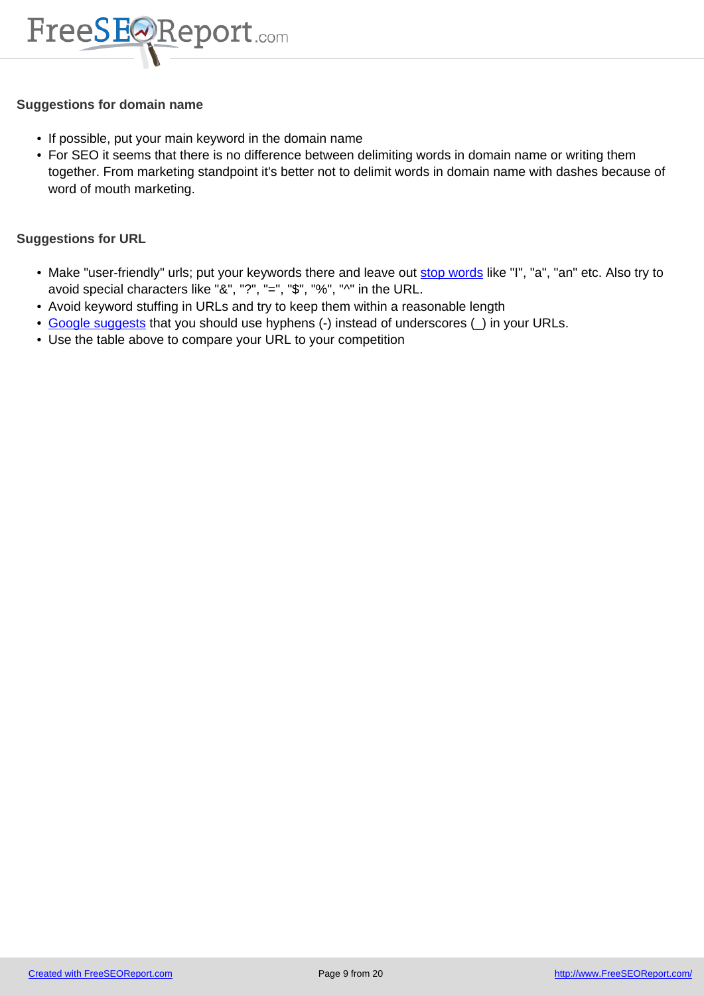

#### **Suggestions for domain name**

- If possible, put your main keyword in the domain name
- For SEO it seems that there is no difference between delimiting words in domain name or writing them together. From marketing standpoint it's better not to delimit words in domain name with dashes because of word of mouth marketing.

**Suggestions for URL**

- Make "user-friendly" urls; put your keywords there and leave out stop words like "I", "a", "an" etc. Also try to avoid special characters like "&", "?", "=", "\$", "%", "^" in the URL.
- Avoid keyword stuffing in URLs and try to keep them within a reasonable length
- Google suggests that you should use hyphens (-) instead of underscores ( $\Box$ ) in your URLs.
- Use the table above to compare your URL to your competition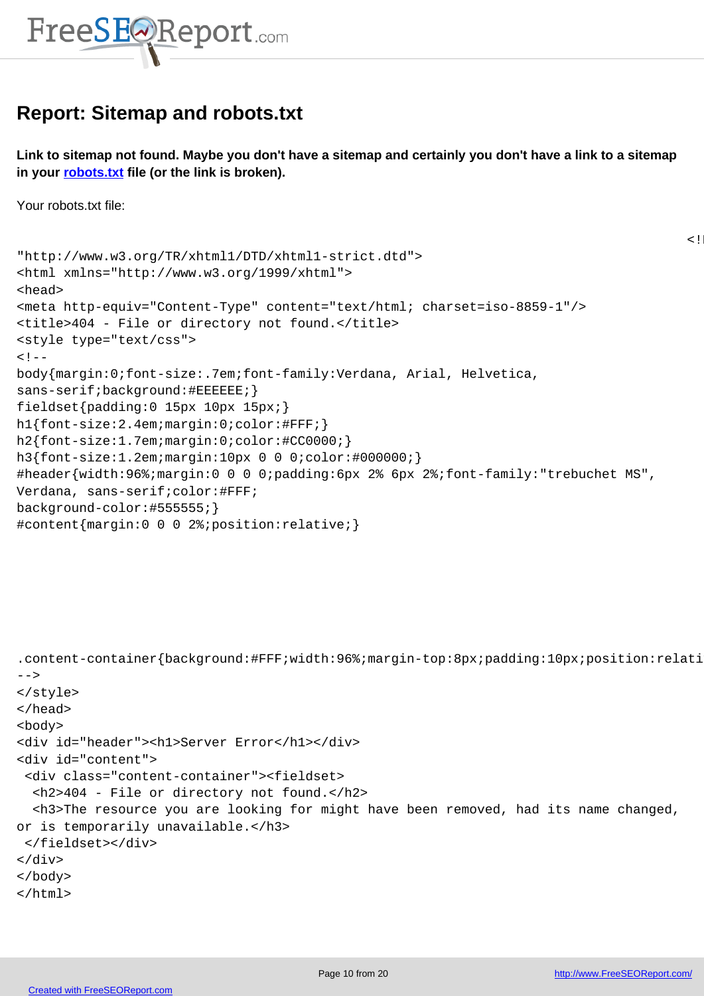

# **Report: Sitemap and robots.txt**

<span id="page-9-0"></span>**Link to sitemap not found. Maybe you don't have a sitemap and certainly you don't have a link to a sitemap in your robots.txt file (or the link is broken).**

Your robots.txt file:

```
"http://www.w3.org/TR/xhtml1/DTD/xhtml1-strict.dtd">
<html xmlns="http://www.w3.org/1999/xhtml">
<head>
<meta http-equiv="Content-Type" content="text/html; charset=iso-8859-1"/>
<title>404 - File or directory not found.</title>
<style type="text/css">
<! -body{margin:0;font-size:.7em;font-family:Verdana, Arial, Helvetica,
sans-serif;background:#EEEEEE;}
fieldset{padding:0 15px 10px 15px;} 
h1{font-size:2.4em;margin:0;color:#FFF;}
h2{font-size:1.7em;margin:0;color:#CC0000;} 
h3{font-size:1.2em;margin:10px 0 0 0;color:#000000;} 
#header{width:96%;margin:0 0 0 0;padding:6px 2% 6px 2%;font-family:"trebuchet MS",
Verdana, sans-serif;color:#FFF;
background-color:#555555;}
```

```
#content{margin:0 0 0 2%;position:relative;}
```

```
.content-container{background:#FFF;width:96%;margin-top:8px;padding:10px;position:relative;}
-->
</style>
</head>
<body>
<div id="header"><h1>Server Error</h1></div>
<div id="content">
  <div class="content-container"><fieldset>
   <h2>404 - File or directory not found.</h2>
   <h3>The resource you are looking for might have been removed, had its name changed,
or is temporarily unavailable.</h3>
  </fieldset></div>
</div>
</body>
</html>
```
 $<$ ! DOC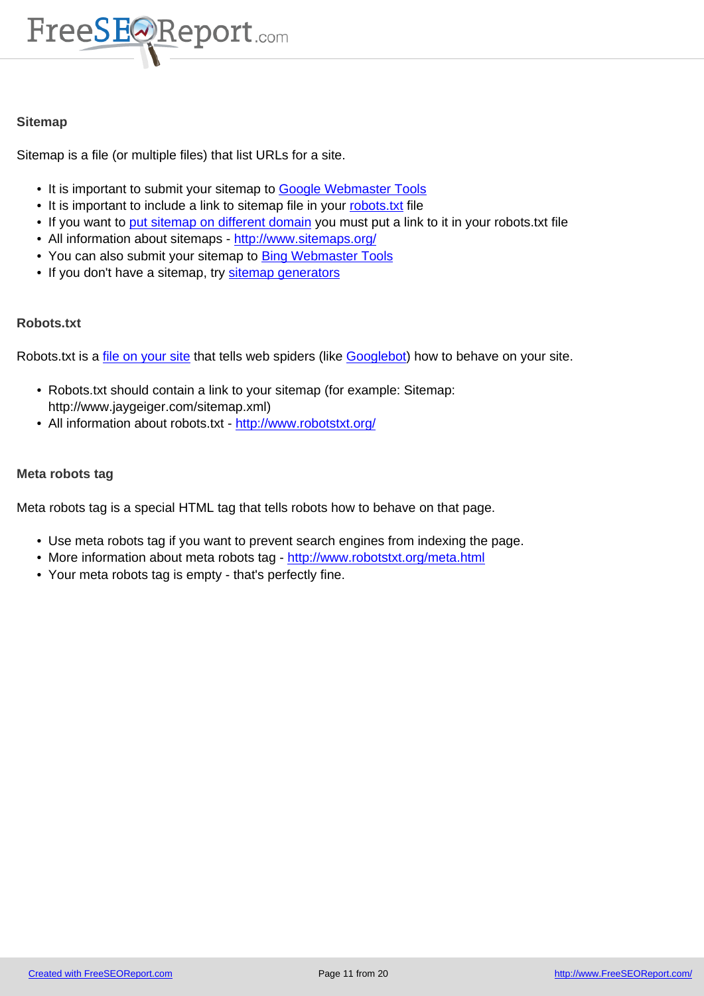

#### **Sitemap**

Sitemap is a file (or multiple files) that list URLs for a site.

- It is important to submit your sitemap to Google Webmaster Tools
- It is important to include a link to sitemap file in your robots txt file
- If you want to put sitemap on different domain you must put a link to it in your robots.txt file
- All information about sitemaps http://www.sitemaps.org/
- You can also submit your sitemap to Bi[ng Webmaster Tools](http://www.google.com/webmasters/tools/)
- If you don't h[ave a sitemap, try sitemap gener](http://www.sitemaps.org/protocol.php#location)ators

#### **Robots.txt**

Robots.txt is a file on your site that tells web spiders (like Googlebot) how to behave on your site.

- Robots.txt should contain a link to your sitemap (for example: Sitemap: http://www.jaygeiger.com/sitemap.xml)
- All inform[ation about robo](http://www.jaygeiger.com/robots.txt)ts.txt http://www.robotstx[t.org/](http://en.wikipedia.org/wiki/Googlebot)

#### **Meta robots tag**

Meta robots tag is a special HTML tag that tells robots how to behave on that page.

- Use meta robots tag if you want to prevent search engines from indexing the page.
- More information about meta robots tag http://www.robotstxt.org/meta.html
- Your meta robots tag is empty that's perfectly fine.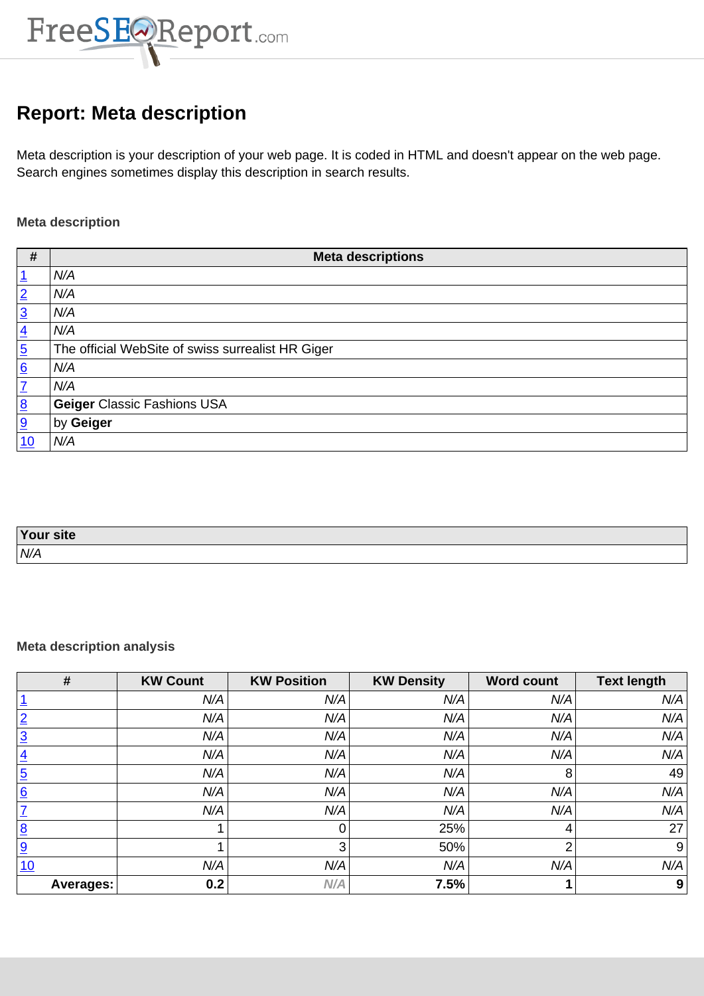

# **Report: Meta description**

<span id="page-11-0"></span>Meta description is your description of your web page. It is coded in HTML and doesn't appear on the web page. Search engines sometimes display this description in search results.

### **Meta description**

| $\pmb{\#}$      | <b>Meta descriptions</b>                          |
|-----------------|---------------------------------------------------|
| <u>1</u>        | N/A                                               |
| $\overline{2}$  | N/A                                               |
| $\overline{3}$  | N/A                                               |
| $\overline{4}$  | N/A                                               |
| $\overline{5}$  | The official WebSite of swiss surrealist HR Giger |
| 6               | N/A                                               |
| $\overline{1}$  | N/A                                               |
| $\underline{8}$ | <b>Geiger Classic Fashions USA</b>                |
| 9               | by Geiger                                         |
| 10              | N/A                                               |

| Your site |  |
|-----------|--|
| N/A       |  |

### **Meta description analysis**

| #                | <b>KW Count</b> | <b>KW Position</b> | <b>KW Density</b> | <b>Word count</b> | <b>Text length</b> |
|------------------|-----------------|--------------------|-------------------|-------------------|--------------------|
|                  | N/A             | N/A                | N/A               | N/A               | N/A                |
| $\overline{2}$   | N/A             | N/A                | N/A               | N/A               | N/A                |
| $\overline{3}$   | N/A             | N/A                | N/A               | N/A               | N/A                |
| $\overline{4}$   | N/A             | N/A                | N/A               | N/A               | N/A                |
| $\overline{5}$   | N/A             | N/A                | N/A               | 8                 | 49                 |
| 6                | N/A             | N/A                | N/A               | N/A               | N/A                |
| 7                | N/A             | N/A                | N/A               | N/A               | N/A                |
| $\underline{8}$  |                 | 0                  | 25%               | 4                 | 27                 |
| 9                |                 | 3                  | 50%               | າ                 | 9                  |
| 10               | N/A             | N/A                | N/A               | N/A               | N/A                |
| <b>Averages:</b> | 0.2             | N/A                | 7.5%              |                   | 9                  |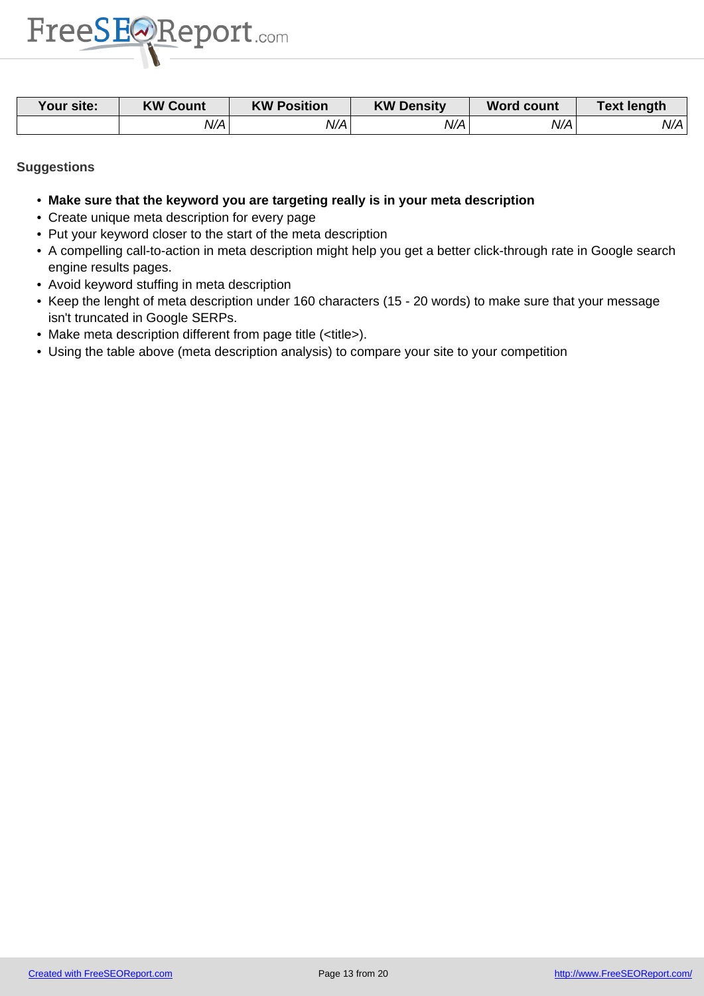

| Your site: | <b>KW Count</b> | <b>KW Position</b> | <b>KW Density</b> | <b>Word count</b> | Text length |
|------------|-----------------|--------------------|-------------------|-------------------|-------------|
|            | N/A             | N/Al               | N/A               | N/A               | N/A         |

- **Make sure that the keyword you are targeting really is in your meta description**
- Create unique meta description for every page
- Put your keyword closer to the start of the meta description
- A compelling call-to-action in meta description might help you get a better click-through rate in Google search engine results pages.
- Avoid keyword stuffing in meta description
- Keep the lenght of meta description under 160 characters (15 20 words) to make sure that your message isn't truncated in Google SERPs.
- Make meta description different from page title (<title>).
- Using the table above (meta description analysis) to compare your site to your competition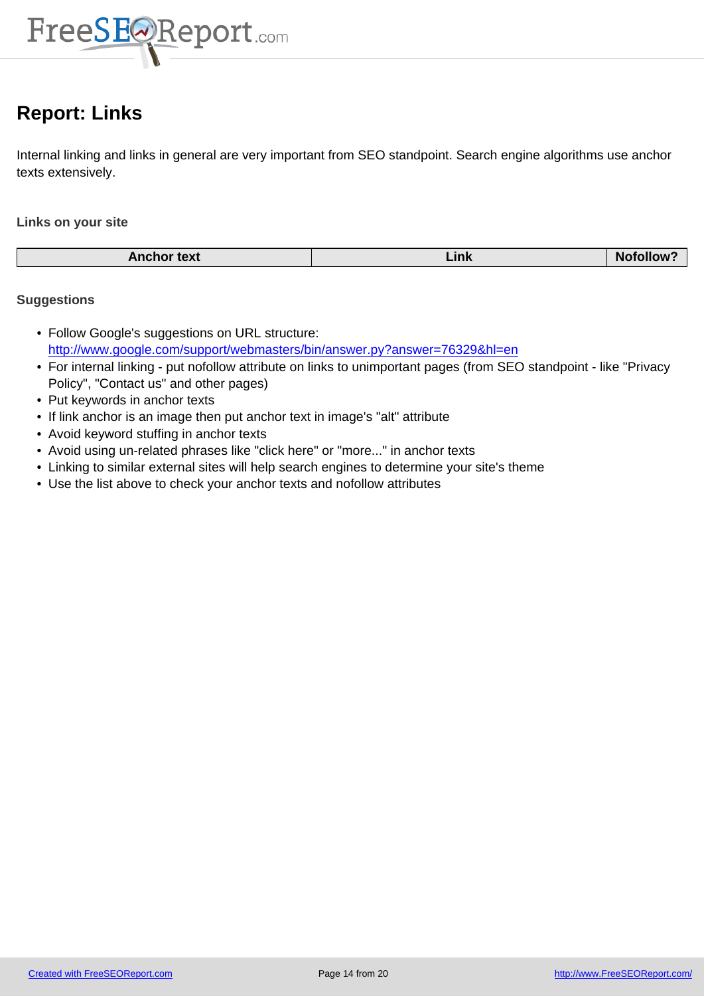

# **Report: Links**

<span id="page-13-0"></span>Internal linking and links in general are very important from SEO standpoint. Search engine algorithms use anchor texts extensively.

### **Links on your site**

|                    |      | $\blacksquare$ Nofe |
|--------------------|------|---------------------|
| <b>Anchor text</b> | Link | <b>OIIOW</b>        |

- Follow Google's suggestions on URL structure: http://www.google.com/support/webmasters/bin/answer.py?answer=76329&hl=en
- For internal linking put nofollow attribute on links to unimportant pages (from SEO standpoint like "Privacy Policy", "Contact us" and other pages)
- Put keywords in anchor texts
- [If link anchor is an image then put anchor text in image's "alt" attribute](http://www.google.com/support/webmasters/bin/answer.py?answer=76329&hl=en)
- Avoid keyword stuffing in anchor texts
- Avoid using un-related phrases like "click here" or "more..." in anchor texts
- Linking to similar external sites will help search engines to determine your site's theme
- Use the list above to check your anchor texts and nofollow attributes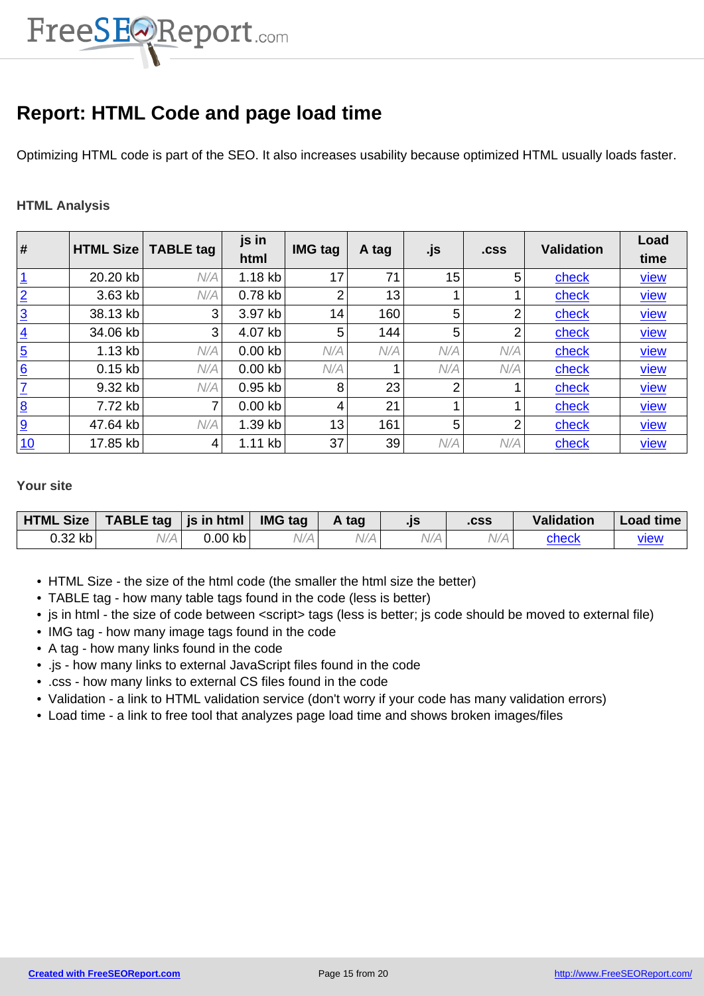

# **Report: HTML Code and page load time**

Optimizing HTML code is part of the SEO. It also increases usability because optimized HTML usually loads faster.

### **HTML Analysis**

| #                       | <b>HTML Size</b> | <b>TABLE tag</b> | js in<br>html | <b>IMG tag</b> | A tag | .js | .css | <b>Validation</b> | Load<br>time |
|-------------------------|------------------|------------------|---------------|----------------|-------|-----|------|-------------------|--------------|
| $\overline{1}$          | 20.20 kb         | N/A              | $1.18$ kb     | 17             | 71    | 15  | 5    | check             | <u>view</u>  |
| $\overline{2}$          | 3.63 kb          | N/A              | 0.78 kb       | 2              | 13    |     |      | check             | <u>view</u>  |
| $\overline{3}$          | 38.13 kb         | 3                | 3.97 kb       | 14             | 160   | 5   | 2    | check             | <b>view</b>  |
| $\overline{4}$          | 34.06 kb         | 3 <sup>1</sup>   | 4.07 kb       | 5              | 144   | 5   | 2    | check             | <u>view</u>  |
| $\overline{5}$          | $1.13$ kb        | N/A              | $0.00$ kb     | N/A            | N/A   | N/A | N/A  | check             | <u>view</u>  |
| 6                       | $0.15$ kb        | N/A              | $0.00$ kb     | N/A            |       | N/A | N/A  | check             | <u>view</u>  |
| $\overline{I}$          | 9.32 kb          | N/A              | $0.95$ kb     | 8              | 23    | 2   |      | check             | <u>view</u>  |
| $\overline{\mathbf{8}}$ | 7.72 kb          | $\overline{7}$   | $0.00$ kb     | 4              | 21    |     |      | check             | <b>view</b>  |
| 9                       | 47.64 kb         | N/A              | 1.39 kb       | 13             | 161   | 5   | 2    | check             | <u>view</u>  |
| 10                      | 17.85 kb         | 4                | $1.11$ kb     | 37             | 39    | N/A | N/A  | check             | <u>view</u>  |

#### **[Yo](http://www.jaygeiger.com/)ur site**

| HTML Size | TABLE tag   js in html $\vert$ IMG tag |           |     | A tag | $\cdot$ IS | .CSS | <b>Validation</b> | Load time |
|-----------|----------------------------------------|-----------|-----|-------|------------|------|-------------------|-----------|
| 0.32 kb   | V/A                                    | $0.00$ kb | V/A |       | 'V/A       | V/A  | check             | view      |

- HTML Size the size of the html code (the smaller the html size the better)
- TABLE tag how many table tags found in the code (less is better)
- js in html the size of code between <script> tags (less is better; js code should be moved to external file)
- IMG tag how many image tags found in the code
- A tag how many links found in the code
- .js how many links to external JavaScript files found in the code
- .css how many links to external CS files found in the code
- Validation a link to HTML validation service (don't worry if your code has many validation errors)
- Load time a link to free tool that analyzes page load time and shows broken images/files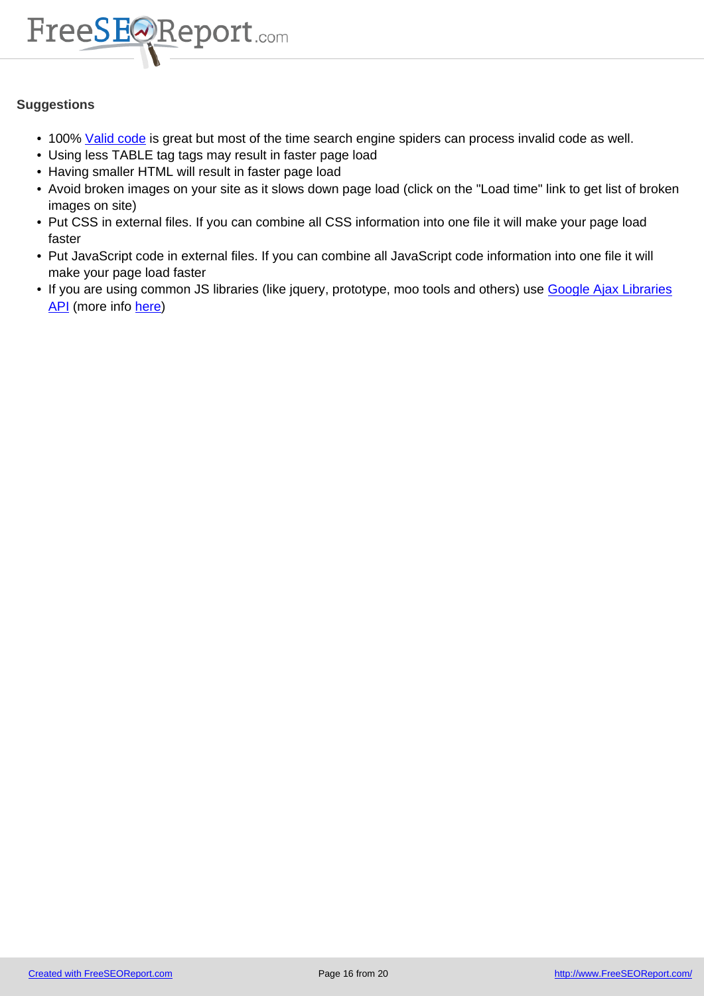

- 100% Valid code is great but most of the time search engine spiders can process invalid code as well.
- Using less TABLE tag tags may result in faster page load
- Having smaller HTML will result in faster page load
- Avoid [broken ima](http://validator.w3.org/)ges on your site as it slows down page load (click on the "Load time" link to get list of broken images on site)
- Put CSS in external files. If you can combine all CSS information into one file it will make your page load faster
- Put JavaScript code in external files. If you can combine all JavaScript code information into one file it will make your page load faster
- If you are using common JS libraries (like jquery, prototype, moo tools and others) use Google Ajax Libraries API (more info here)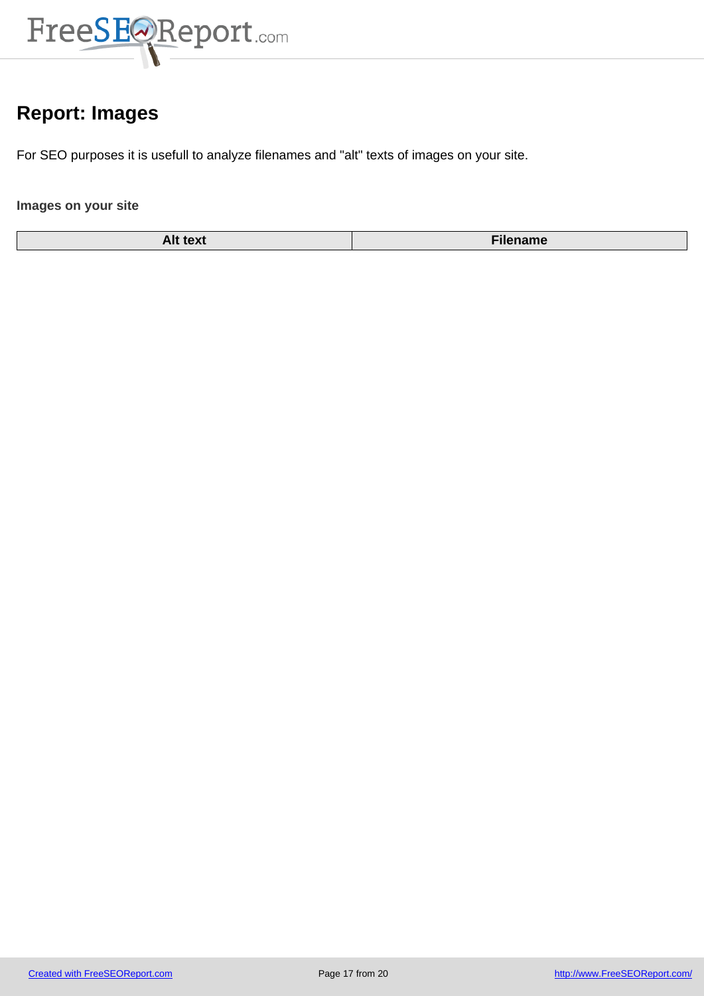

# **Report: Images**

<span id="page-16-0"></span>For SEO purposes it is usefull to analyze filenames and "alt" texts of images on your site.

## **Images on your site**

| <b>AIL LEAL</b> | name! |
|-----------------|-------|
| $T^{\prime}$    | ш     |
|                 |       |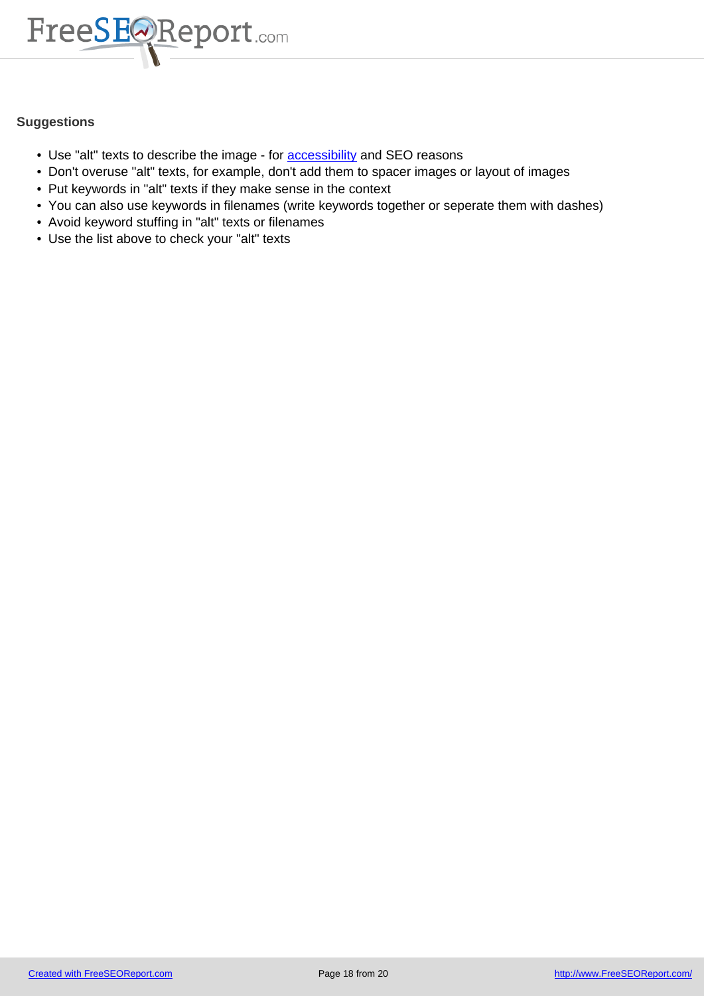

- Use "alt" texts to describe the image for **accessibility** and SEO reasons
- Don't overuse "alt" texts, for example, don't add them to spacer images or layout of images
- Put keywords in "alt" texts if they make sense in the context
- You can also use keywords in filenames [\(write keywor](http://en.wikipedia.org/wiki/Web_accessibility)ds together or seperate them with dashes)
- Avoid keyword stuffing in "alt" texts or filenames
- Use the list above to check your "alt" texts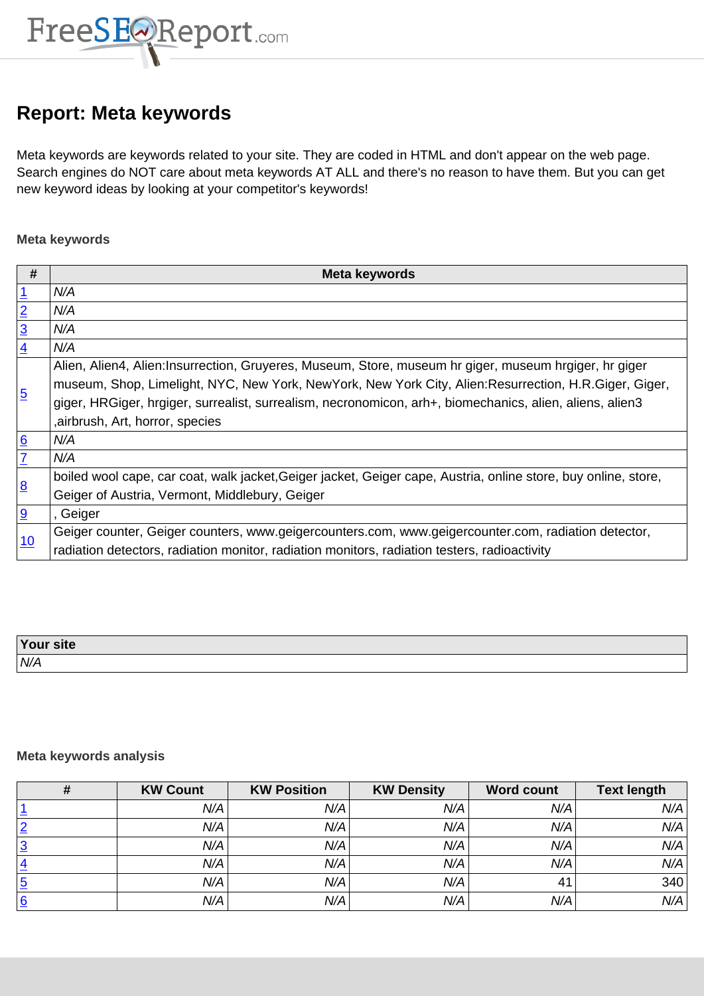

# **Report: Meta keywords**

<span id="page-18-0"></span>Meta keywords are keywords related to your site. They are coded in HTML and don't appear on the web page. Search engines do NOT care about meta keywords AT ALL and there's no reason to have them. But you can get new keyword ideas by looking at your competitor's keywords!

### **Meta keywords**

| #                                         | <b>Meta keywords</b>                                                                                           |
|-------------------------------------------|----------------------------------------------------------------------------------------------------------------|
|                                           | N/A                                                                                                            |
| $\frac{1}{2}$ $\frac{2}{3}$ $\frac{1}{4}$ | N/A                                                                                                            |
|                                           | N/A                                                                                                            |
|                                           | N/A                                                                                                            |
|                                           | Alien, Alien4, Alien:Insurrection, Gruyeres, Museum, Store, museum hr giger, museum hrgiger, hr giger          |
|                                           | museum, Shop, Limelight, NYC, New York, New York, New York City, Alien: Resurrection, H.R. Giger, Giger,       |
| $\overline{5}$                            | giger, HRGiger, hrgiger, surrealist, surrealism, necronomicon, arh+, biomechanics, alien, aliens, alien3       |
|                                           | , airbrush, Art, horror, species                                                                               |
| $\frac{1}{2}$                             | N/A                                                                                                            |
|                                           | N/A                                                                                                            |
|                                           | boiled wool cape, car coat, walk jacket, Geiger jacket, Geiger cape, Austria, online store, buy online, store, |
| $\overline{8}$                            | Geiger of Austria, Vermont, Middlebury, Geiger                                                                 |
| 9                                         | , Geiger                                                                                                       |
| 10                                        | Geiger counter, Geiger counters, www.geigercounters.com, www.geigercounter.com, radiation detector,            |
|                                           | radiation detectors, radiation monitor, radiation monitors, radiation testers, radioactivity                   |

| Your site |  |
|-----------|--|
| N/A       |  |

### **Meta keywords analysis**

|                | <b>KW Count</b> | <b>KW Position</b> | <b>KW Density</b> | <b>Word count</b> | <b>Text length</b> |
|----------------|-----------------|--------------------|-------------------|-------------------|--------------------|
|                | N/A             | N/A                | N/A               | N/A               | N/A                |
| $\overline{2}$ | N/A             | N/A                | N/A               | N/A               | N/A                |
| <u> 3</u>      | N/A             | N/A                | N/A               | N/A               | N/A                |
| $\overline{4}$ | N/A             | N/A                | N/A               | N/A               | N/A                |
| $\overline{5}$ | N/A             | N/A                | N/A               | 41                | 340                |
| <u> 6</u>      | N/A             | N/A                | N/A               | N/A               | N/A                |